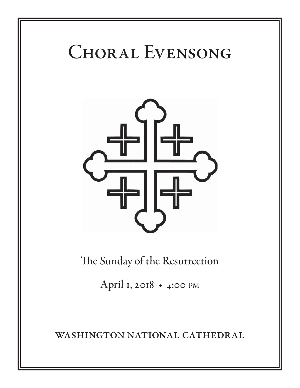# CHORAL EVENSONG



The Sunday of the Resurrection

April 1, 2018 • 4:00 PM

washington national cathedral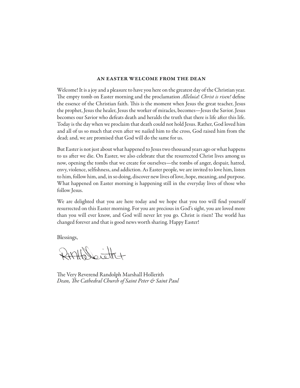### an easter welcome from the dean

Welcome! It is a joy and a pleasure to have you here on the greatest day of the Christian year. The empty tomb on Easter morning and the proclamation *Alleluia*! *Christ is risen!* define the essence of the Christian faith. This is the moment when Jesus the great teacher, Jesus the prophet, Jesus the healer, Jesus the worker of miracles, becomes—Jesus the Savior. Jesus becomes our Savior who defeats death and heralds the truth that there is life after this life. Today is the day when we proclaim that death could not hold Jesus. Rather, God loved him and all of us so much that even after we nailed him to the cross, God raised him from the dead; and, we are promised that God will do the same for us.

But Easter is not just about what happened to Jesus two thousand years ago or what happens to us after we die. On Easter, we also celebrate that the resurrected Christ lives among us now, opening the tombs that we create for ourselves—the tombs of anger, despair, hatred, envy, violence, selfishness, and addiction. As Easter people, we are invited to love him, listen to him, follow him, and, in so doing, discover new lives of love, hope, meaning, and purpose. What happened on Easter morning is happening still in the everyday lives of those who follow Jesus.

We are delighted that you are here today and we hope that you too will find yourself resurrected on this Easter morning. For you are precious in God's sight, you are loved more than you will ever know, and God will never let you go. Christ is risen! The world has changed forever and that is good news worth sharing. Happy Easter!

Blessings,

RHAHolschtt

The Very Reverend Randolph Marshall Hollerith *Dean, The Cathedral Church of Saint Peter & Saint Paul*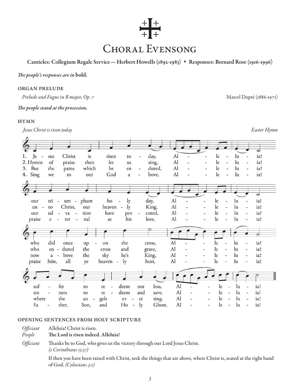## *3*

## CHORAL EVENSONG

Canticles: Collegium Regale Service—Herbert Howells (1892-1983) **•** Responses: Bernard Rose (1916-1996)

### *The people's responses are in* bold.

### organ prelude

*Prelude and Fugue in B major, Op. 7* Marcel Dupré (1886-1971)

### *The people stand at the procession.*

### **HYMN**

*Jesus Christ is risen today Easter Hymn*

|    |                                           |                          |                                    |                                |        |                                            |                          |        |              |  |    |                          |       |                          | ⋥                   |
|----|-------------------------------------------|--------------------------|------------------------------------|--------------------------------|--------|--------------------------------------------|--------------------------|--------|--------------|--|----|--------------------------|-------|--------------------------|---------------------|
|    | <sub>le</sub><br>$\overline{\phantom{a}}$ | sus                      | Christ                             | is                             | risen  | to                                         |                          | day,   | Al           |  | le |                          | lu    |                          | ia!                 |
|    | 2. Hymns                                  | of                       | praise                             | then                           | let    | <b>us</b>                                  |                          | sing,  | $\mathbf{A}$ |  | le | $\qquad \qquad -$        | $\ln$ | $\overline{\phantom{a}}$ | ia!                 |
| 3. | But                                       | the                      | pains                              | which                          | he     | en                                         | $\overline{\phantom{a}}$ | dured, | $\mathbf{A}$ |  | le | $\equiv$                 | $\ln$ | $\overline{\phantom{a}}$ | ia!                 |
| 4. | Sing                                      | we                       | to                                 | our                            | God    | a                                          |                          | bove,  | $\mathbf{A}$ |  | le |                          | $\ln$ |                          | ia!                 |
|    |                                           |                          |                                    |                                |        |                                            |                          |        |              |  |    |                          |       |                          |                     |
|    |                                           |                          |                                    |                                |        |                                            |                          |        |              |  |    |                          |       |                          |                     |
|    |                                           |                          |                                    |                                |        |                                            |                          |        |              |  |    |                          |       |                          | $\overline{\sigma}$ |
|    | our                                       | tri                      | $um -$<br>$\overline{\phantom{a}}$ | phant                          | ho     | <i>ly</i>                                  |                          | day,   | Al           |  | le | $\overline{\phantom{0}}$ | lu    | -                        | ia!                 |
|    | un<br>$\overline{\phantom{a}}$            | to                       | Christ,                            | our                            | heaven | <i>ly</i><br>$\overline{\phantom{a}}$      |                          | King,  | Al           |  | le |                          | $\ln$ | $\overline{\phantom{0}}$ | ia!                 |
|    | our                                       | sal                      | va<br>$\overline{\phantom{a}}$     | tion                           | have   | pro                                        | $\qquad \qquad -$        | cured, | Al           |  | le | $\overline{\phantom{0}}$ | $\ln$ | $\overline{\phantom{0}}$ | ia!                 |
|    | praise                                    | e                        | ter<br>$\overline{\phantom{a}}$    | nal                            | as     | his                                        |                          | love,  | Al           |  | le | $\overline{a}$           | $\ln$ | $\overline{\phantom{a}}$ | ia!                 |
|    |                                           |                          |                                    |                                |        |                                            |                          |        |              |  |    |                          |       |                          |                     |
|    |                                           |                          |                                    |                                |        |                                            |                          |        |              |  |    |                          |       |                          | Ò                   |
|    |                                           |                          |                                    |                                |        |                                            |                          |        |              |  |    |                          |       |                          |                     |
|    | who                                       | did                      | once                               | up<br>$\overline{\phantom{a}}$ | on     | the                                        |                          | cross, | Al           |  | le |                          | lu    |                          | ia!                 |
|    | who                                       | $en -$                   | dured                              | the                            | cross  | and                                        |                          | grave, | Al           |  | le |                          | lu    | $\qquad \qquad -$        | ia!                 |
|    | now                                       | $a -$                    | bove                               | the                            | sky    | he's                                       |                          | King,  | Al           |  | le |                          | $\ln$ | $\overline{\phantom{a}}$ | ia!                 |
|    | praise                                    | him,                     | all                                | ye                             | heaven | <i>ly</i><br>$\blacksquare$                |                          | host,  | Al           |  | le | $\overline{\phantom{0}}$ | $\ln$ | $\overline{\phantom{a}}$ | ia!                 |
|    |                                           |                          |                                    |                                |        |                                            |                          |        |              |  |    |                          |       |                          |                     |
|    |                                           |                          |                                    |                                |        |                                            |                          |        |              |  |    |                          |       |                          |                     |
|    |                                           |                          |                                    |                                |        |                                            |                          |        |              |  |    |                          |       |                          |                     |
|    | suf                                       |                          | fer                                | to                             | re     | deem                                       | our                      | loss,  | Al           |  | le |                          | lu    |                          | ia!                 |
|    | sin                                       |                          | ners                               | to                             | re     | deem                                       | and                      | save.  | Al           |  | le |                          | lu    | $\overline{\phantom{a}}$ | ia!                 |
|    | where                                     |                          | the                                | an<br>$\overline{\phantom{a}}$ | gels   | ev                                         | er                       | sing.  | Al           |  | le | $\overline{\phantom{a}}$ | lu    | $\overline{\phantom{a}}$ | ia!                 |
|    | Fa                                        | $\overline{\phantom{0}}$ | ther,                              | Son,                           | and    | H <sub>o</sub><br>$\overline{\phantom{a}}$ | ly                       | Ghost. | Al           |  | le |                          | $\ln$ | $\overline{\phantom{a}}$ | ia!                 |

### opening sentences from holy scripture

- *Officiant* Alleluia! Christ is risen.
- *People* The Lord is risen indeed. Alleluia!

*Officiant* Thanks be to God, who gives us the victory through our Lord Jesus Christ.

*(1 Corinthians 15:57)*

If then you have been raised with Christ, seek the things that are above, where Christ is, seated at the right hand of God. *(Colossians 3:1)*

 $\frac{+}{+}$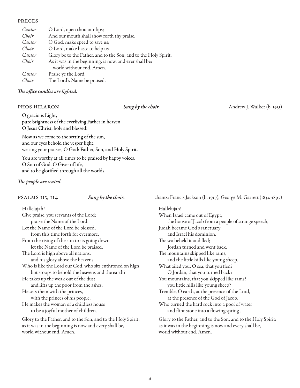### preces

| Cantor | O Lord, open thou our lips;                                     |
|--------|-----------------------------------------------------------------|
| Choir  | And our mouth shall show forth thy praise.                      |
| Cantor | O God, make speed to save us;                                   |
| Choir  | O Lord, make haste to help us.                                  |
| Cantor | Glory be to the Father, and to the Son, and to the Holy Spirit. |
| Choir  | As it was in the beginning, is now, and ever shall be:          |
|        | world without end. Amen.                                        |
| Cantor | Praise ye the Lord.                                             |
| Choir  | The Lord's Name be praised.                                     |
|        |                                                                 |

*The office candles are lighted.*

**PHOS HILARON Sung by the choir. Andrew J. Walker (b. 1955) Sung by the choir. Andrew J. Walker (b. 1955)** 

O gracious Light, pure brightness of the everliving Father in heaven, O Jesus Christ, holy and blessed!

Now as we come to the setting of the sun, and our eyes behold the vesper light, we sing your praises, O God: Father, Son, and Holy Spirit.

You are worthy at all times to be praised by happy voices, O Son of God, O Giver of life, and to be glorified through all the worlds.

*The people are seated.* 

Hallelujah! Give praise, you servants of the Lord; praise the Name of the Lord. Let the Name of the Lord be blessed, from this time forth for evermore. From the rising of the sun to its going down let the Name of the Lord be praised. The Lord is high above all nations, and his glory above the heavens. Who is like the Lord our God, who sits enthroned on high but stoops to behold the heavens and the earth? He takes up the weak out of the dust and lifts up the poor from the ashes. He sets them with the princes, with the princes of his people. He makes the woman of a childless house to be a joyful mother of children.

Glory to the Father, and to the Son, and to the Holy Spirit: as it was in the beginning is now and every shall be, world without end. Amen.

psalms 113, 114 *Sung by the choir.* chants: Francis Jackson (b. 1917); George M. Garrett (1834-1897)

Hallelujah! When Israel came out of Egypt, the house of Jacob from a people of strange speech, Judah became God's sanctuary and Israel his dominion. The sea beheld it and fled; Jordan turned and went back. The mountains skipped like rams, and the little hills like young sheep. What ailed you, O sea, that you fled? O Jordan, that you turned back? You mountains, that you skipped like rams? you little hills like young sheep? Tremble, O earth, at the presence of the Lord, at the presence of the God of Jacob, Who turned the hard rock into a pool of water and flint-stone into a flowing spring .

Glory to the Father, and to the Son, and to the Holy Spirit: as it was in the beginning is now and every shall be, world without end. Amen.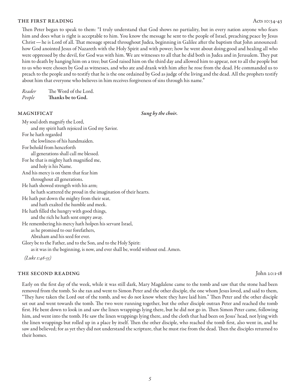### THE FIRST READING Acts 10:34-43

Then Peter began to speak to them: "I truly understand that God shows no partiality, but in every nation anyone who fears him and does what is right is acceptable to him. You know the message he sent to the people of Israel, preaching peace by Jesus Christ—he is Lord of all. That message spread throughout Judea, beginning in Galilee after the baptism that John announced: how God anointed Jesus of Nazareth with the Holy Spirit and with power; how he went about doing good and healing all who were oppressed by the devil, for God was with him. We are witnesses to all that he did both in Judea and in Jerusalem. They put him to death by hanging him on a tree; but God raised him on the third day and allowed him to appear, not to all the people but to us who were chosen by God as witnesses, and who ate and drank with him after he rose from the dead. He commanded us to preach to the people and to testify that he is the one ordained by God as judge of the living and the dead. All the prophets testify about him that everyone who believes in him receives forgiveness of sins through his name."

*Reader* The Word of the Lord. *People* Thanks be to God.

### magnificat *Sung by the choir.*

My soul doth magnify the Lord, and my spirit hath rejoiced in God my Savior. For he hath regarded the lowliness of his handmaiden. For behold from henceforth all generations shall call me blessed. For he that is mighty hath magnified me, and holy is his Name. And his mercy is on them that fear him throughout all generations. He hath showed strength with his arm; he hath scattered the proud in the imagination of their hearts. He hath put down the mighty from their seat, and hath exalted the humble and meek. He hath filled the hungry with good things, and the rich he hath sent empty away. He remembering his mercy hath holpen his servant Israel, as he promised to our forefathers, Abraham and his seed for ever. Glory be to the Father, and to the Son, and to the Holy Spirit: as it was in the beginning, is now, and ever shall be, world without end. Amen.

*(Luke 1:46-55)*

### THE SECOND READING John 20:1-18

Early on the first day of the week, while it was still dark, Mary Magdalene came to the tomb and saw that the stone had been removed from the tomb. So she ran and went to Simon Peter and the other disciple, the one whom Jesus loved, and said to them, "They have taken the Lord out of the tomb, and we do not know where they have laid him." Then Peter and the other disciple set out and went towards the tomb. The two were running together, but the other disciple outran Peter and reached the tomb first. He bent down to look in and saw the linen wrappings lying there, but he did not go in. Then Simon Peter came, following him, and went into the tomb. He saw the linen wrappings lying there, and the cloth that had been on Jesus' head, not lying with the linen wrappings but rolled up in a place by itself. Then the other disciple, who reached the tomb first, also went in, and he saw and believed; for as yet they did not understand the scripture, that he must rise from the dead. Then the disciples returned to their homes.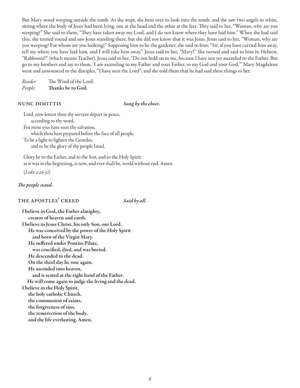But Mary stood weeping outside the tomb. As she wept, she bent over to look into the tomb; and she saw two angels in white, sitting where the body of Jesus had been lying, one at the head and the other at the feet. They said to her, "Woman, why are you weeping?" She said to them, "They have taken away my Lord, and I do not know where they have laid him." When she had said this, she turned round and saw Jesus standing there, but she did not know that it was Jesus. Jesus said to her, "Woman, why are you weeping? For whom are you looking?" Supposing him to be the gardener, she said to him, "Sir, if you have carried him away, tell me where you have laid him, and I will take him away." Jesus said to her, "Mary!" She turned and said to him in Hebrew, "Rabbouni!" (which means Teacher). Jesus said to her, "Do not hold on to me, because I have not yet ascended to the Father. But go to my brothers and say to them, 'I am ascending to my Father and your Father, to my God and your God.'" Mary Magdalene went and announced to the disciples, "I have seen the Lord"; and she told them that he had said these things to her.

*Reader* The Word of the Lord. *People* Thanks be to God.

### nunc dimittis *Sung by the choir.*

Lord, now lettest thou thy servant depart in peace, according to thy word, For mine eyes have seen thy salvation, which thou hast prepared before the face of all people, To be a light to lighten the Gentiles, and to be the glory of thy people Israel.

Glory be to the Father, and to the Son, and to the Holy Spirit: as it was in the beginning, is now, and ever shall be, world without end. Amen.

(*Luke 2:29-32*)

### *The people stand.*

### THE APOSTLES' CREED *Said by all.*

I believe in God, the Father almighty, creator of heaven and earth. I believe in Jesus Christ, his only Son, our Lord. He was conceived by the power of the Holy Spirit and born of the Virgin Mary. He suffered under Pontius Pilate, was crucified, died, and was buried. He descended to the dead. On the third day he rose again. He ascended into heaven, and is seated at the right hand of the Father. He will come again to judge the living and the dead. I believe in the Holy Spirit, the holy catholic Church, the communion of saints, the forgiveness of sins, the resurrection of the body, and the life everlasting. Amen.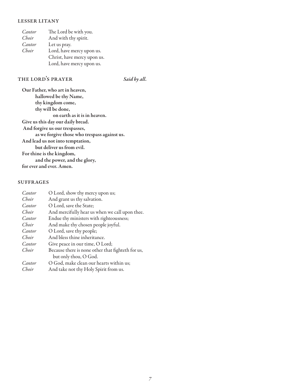### lesser litany

| Cantor | The Lord be with you.       |
|--------|-----------------------------|
| Choir  | And with thy spirit.        |
| Cantor | Let us pray.                |
| Choir  | Lord, have mercy upon us.   |
|        | Christ, have mercy upon us. |
|        | Lord, have mercy upon us.   |

### THE LORD<sup>'</sup>S PRAYER *Said by all.*

Our Father, who art in heaven, hallowed be thy Name, thy kingdom come, thy will be done, on earth as it is in heaven. Give us this day our daily bread. And forgive us our trespasses, as we forgive those who trespass against us. And lead us not into temptation, but deliver us from evil. For thine is the kingdom, and the power, and the glory, for ever and ever. Amen.

### **SUFFRAGES**

| Cantor | O Lord, show thy mercy upon us;                   |
|--------|---------------------------------------------------|
| Choir  | And grant us thy salvation.                       |
| Cantor | O Lord, save the State;                           |
| Choir  | And mercifully hear us when we call upon thee.    |
| Cantor | Endue thy ministers with righteousness;           |
| Choir  | And make thy chosen people joyful.                |
| Cantor | O Lord, save thy people;                          |
| Choir  | And bless thine inheritance.                      |
| Cantor | Give peace in our time, O Lord;                   |
| Choir  | Because there is none other that fighteth for us, |
|        | but only thou, O God.                             |
| Cantor | O God, make clean our hearts within us;           |
| Choir  | And take not thy Holy Spirit from us.             |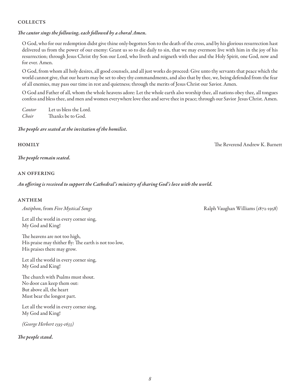### **COLLECTS**

### *The cantor sings the following, each followed by a choral Amen.*

O God, who for our redemption didst give thine only-begotten Son to the death of the cross, and by his glorious resurrection hast delivered us from the power of our enemy: Grant us so to die daily to sin, that we may evermore live with him in the joy of his resurrection; through Jesus Christ thy Son our Lord, who liveth and reigneth with thee and the Holy Spirit, one God, now and for ever. Amen.

O God, from whom all holy desires, all good counsels, and all just works do proceed: Give unto thy servants that peace which the world cannot give, that our hearts may be set to obey thy commandments, and also that by thee, we, being defended from the fear of all enemies, may pass our time in rest and quietness; through the merits of Jesus Christ our Savior. Amen.

O God and Father of all, whom the whole heavens adore: Let the whole earth also worship thee, all nations obey thee, all tongues confess and bless thee, and men and women everywhere love thee and serve thee in peace; through our Savior Jesus Christ. Amen.

*Cantor* Let us bless the Lord. *Choir* Thanks be to God.

*The people are seated at the invitation of the homilist.* 

homily The Reverend Andrew K. Barnett

*The people remain seated.* 

### an offering

*An offering is received to support the Cathedral's ministry of sharing God's love with the world.*

### **ANTHEM**

Let all the world in every corner sing, My God and King!

The heavens are not too high, His praise may thither fly: The earth is not too low, His praises there may grow.

Let all the world in every corner sing, My God and King!

The church with Psalms must shout. No door can keep them out: But above all, the heart Must bear the longest part.

Let all the world in every corner sing, My God and King!

*(George Herbert 1593-1633)*

*The people stand.* 

*Antiphon,* from *Five Mystical Songs* Ralph Vaughan Williams (1872-1958)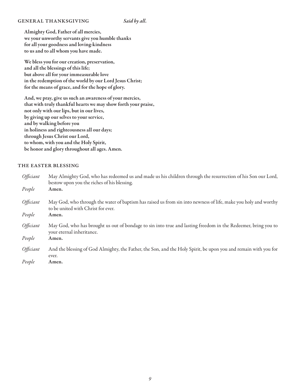### general thanksgiving *Said by all.*

Almighty God, Father of all mercies, we your unworthy servants give you humble thanks for all your goodness and loving-kindness to us and to all whom you have made.

We bless you for our creation, preservation, and all the blessings of this life; but above all for your immeasurable love in the redemption of the world by our Lord Jesus Christ; for the means of grace, and for the hope of glory.

And, we pray, give us such an awareness of your mercies, that with truly thankful hearts we may show forth your praise, not only with our lips, but in our lives, by giving up our selves to your service, and by walking before you in holiness and righteousness all our days; through Jesus Christ our Lord, to whom, with you and the Holy Spirit, be honor and glory throughout all ages. Amen.

### the easter blessing

| Officiant | May Almighty God, who has redeemed us and made us his children through the resurrection of his Son our Lord,<br>bestow upon you the riches of his blessing. |
|-----------|-------------------------------------------------------------------------------------------------------------------------------------------------------------|
| People    | Amen.                                                                                                                                                       |
| Officiant | May God, who through the water of baptism has raised us from sin into newness of life, make you holy and worthy<br>to be united with Christ for ever.       |
| People    | Amen.                                                                                                                                                       |
| Officiant | May God, who has brought us out of bondage to sin into true and lasting freedom in the Redeemer, bring you to<br>your eternal inheritance.                  |
| People    | Amen.                                                                                                                                                       |
| Officiant | And the blessing of God Almighty, the Father, the Son, and the Holy Spirit, be upon you and remain with you for<br>ever.                                    |
| People    | Amen.                                                                                                                                                       |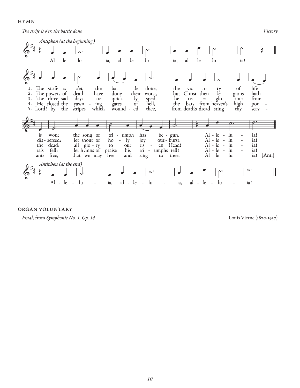### hymn

*The strife is o'er, the battle done Victory*



### organ voluntary

*Final,* from *Symphonie No. 1, Op. 14* Louis Vierne (1870-1937)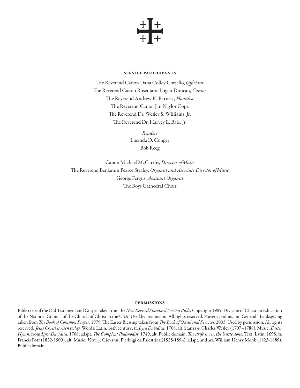

### service participants

The Reverend Canon Dana Colley Corsello, *Officiant* The Reverend Canon Rosemarie Logan Duncan, *Cantor* The Reverend Andrew K. Barnett, *Homilist* The Reverend Canon Jan Naylor Cope The Reverend Dr. Wesley S. Williams, Jr. The Reverend Dr. Harvey E. Bale, Jr.

> *Readers* Lucinda D. Conger Bob Reeg

Canon Michael McCarthy, *Director ofMusic* The Reverend Benjamin Pearce Straley, *Organist and Associate Director ofMusic* George Fergus, *Assistant Organist* The Boys Cathedral Choir

### permissions

Bible texts of the Old Testament and Gospel taken from the *New Revised Standard Version Bible,* Copyright 1989, Division of Christian Education of the National Council of the Church of Christ in the USA. Used by permission. All rights reserved. Prayers, psalms, and General Thanksgiving taken from *The Book of Common Prayer*, 1979. The Easter Blessing taken from *The Book of Occasional Services*, 2003. Used by permission. All rights reserved. *Jesus Christ is risen today.* Words: Latin, 14th century; tr. *Lyra Davidica*, 1708, alt. Stanza 4, Charles Wesley (1707–1788). Music: *Easter Hymn*, from *Lyra Davidica*, 1708; adapt. *The Compleat Psalmodist*, 1749, alt. Public domain. *The strife is o'er, the battle done.* Text: Latin, 1695; tr. Francis Pott (1832-1909), alt. Music: *Victory*, Giovanni Pierluigi da Palestrina (1525-1594); adapt. and arr. William Henry Monk (1823-1889). Public domain.